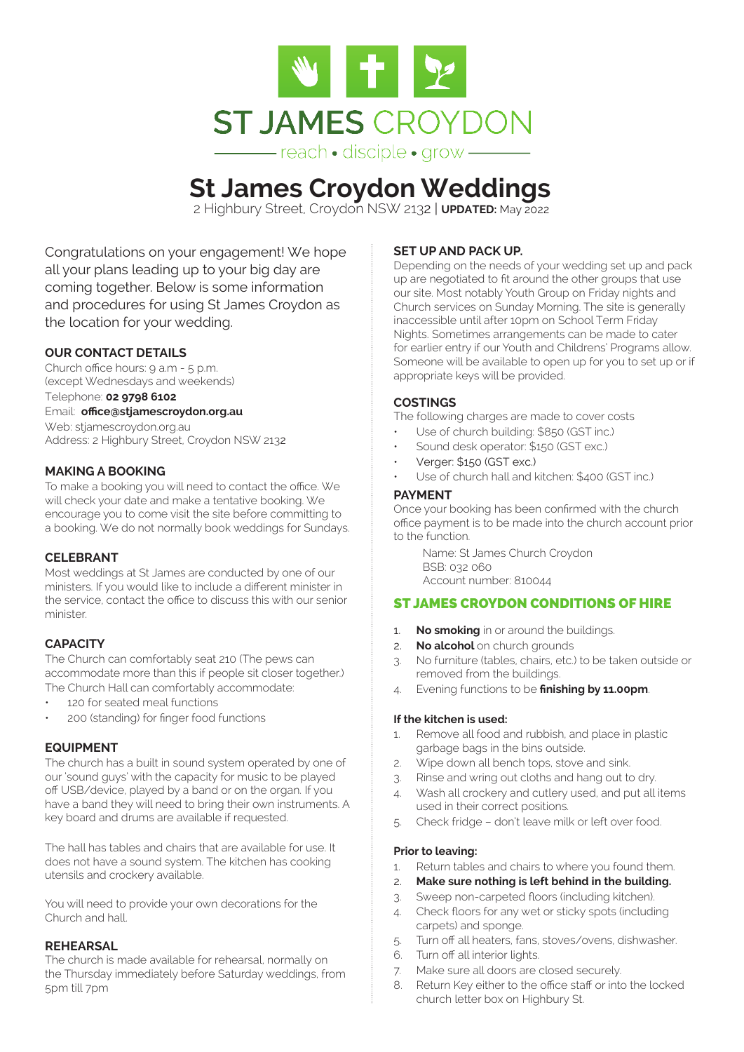

# **St James Croydon Weddings**

2 Highbury Street, Croydon NSW 2132 | **UPDATED:** May 2022

Congratulations on your engagement! We hope all your plans leading up to your big day are coming together. Below is some information and procedures for using St James Croydon as the location for your wedding.

## **OUR CONTACT DETAILS**

Church office hours: 9 a.m - 5 p.m. (except Wednesdays and weekends) Telephone: **02 9798 6102**  Email: **office@stjamescroydon.org.au** Web: stjamescroydon.org.au Address: 2 Highbury Street, Croydon NSW 2132

#### **MAKING A BOOKING**

To make a booking you will need to contact the office. We will check your date and make a tentative booking. We encourage you to come visit the site before committing to a booking. We do not normally book weddings for Sundays.

#### **CELEBRANT**

Most weddings at St James are conducted by one of our ministers. If you would like to include a different minister in the service, contact the office to discuss this with our senior minister.

# **CAPACITY**

The Church can comfortably seat 210 (The pews can accommodate more than this if people sit closer together.) The Church Hall can comfortably accommodate:

- 120 for seated meal functions
- 200 (standing) for finger food functions

#### **EQUIPMENT**

The church has a built in sound system operated by one of our 'sound guys' with the capacity for music to be played off USB/device, played by a band or on the organ. If you have a band they will need to bring their own instruments. A key board and drums are available if requested.

The hall has tables and chairs that are available for use. It does not have a sound system. The kitchen has cooking utensils and crockery available.

You will need to provide your own decorations for the Church and hall.

#### **REHEARSAL**

The church is made available for rehearsal, normally on the Thursday immediately before Saturday weddings, from 5pm till 7pm

#### **SET UP AND PACK UP.**

Depending on the needs of your wedding set up and pack up are negotiated to fit around the other groups that use our site. Most notably Youth Group on Friday nights and Church services on Sunday Morning. The site is generally inaccessible until after 10pm on School Term Friday Nights. Sometimes arrangements can be made to cater for earlier entry if our Youth and Childrens' Programs allow. Someone will be available to open up for you to set up or if appropriate keys will be provided.

## **COSTINGS**

The following charges are made to cover costs

- Use of church building: \$850 (GST inc.)
- Sound desk operator: \$150 (GST exc.)
- Verger: \$150 (GST exc.)
- Use of church hall and kitchen: \$400 (GST inc.)

#### **PAYMENT**

Once your booking has been confirmed with the church office payment is to be made into the church account prior to the function.

Name: St James Church Croydon BSB: 032 060 Account number: 810044

#### ST JAMES CROYDON CONDITIONS OF HIRE

- 1. **No smoking** in or around the buildings.
- 2. **No alcohol** on church grounds
- 3. No furniture (tables, chairs, etc.) to be taken outside or removed from the buildings.
- 4. Evening functions to be **finishing by 11.00pm**.

#### **If the kitchen is used:**

- 1. Remove all food and rubbish, and place in plastic garbage bags in the bins outside.
- 2. Wipe down all bench tops, stove and sink.
- 3. Rinse and wring out cloths and hang out to dry.
- 4. Wash all crockery and cutlery used, and put all items used in their correct positions.
- 5. Check fridge don't leave milk or left over food.

#### **Prior to leaving:**

- 1. Return tables and chairs to where you found them.
- 2. **Make sure nothing is left behind in the building.**
- 3. Sweep non-carpeted floors (including kitchen).
- 4. Check floors for any wet or sticky spots (including carpets) and sponge.
- 5. Turn off all heaters, fans, stoves/ovens, dishwasher.
- 6. Turn off all interior lights.
- 7. Make sure all doors are closed securely.
- 8. Return Key either to the office staff or into the locked church letter box on Highbury St.